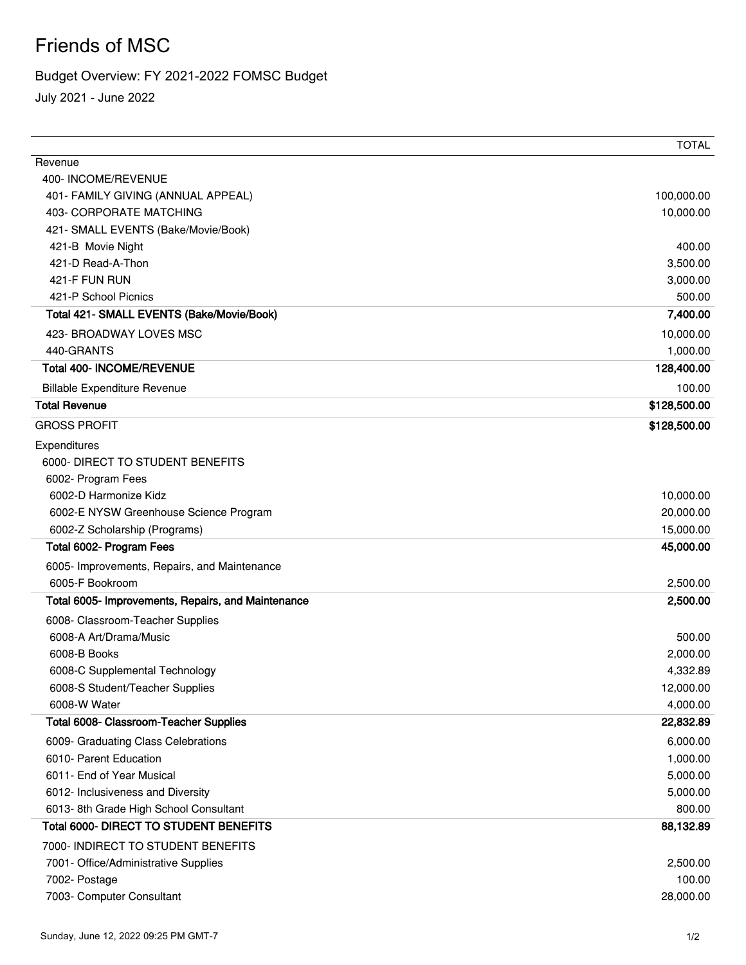## Friends of MSC

## Budget Overview: FY 2021-2022 FOMSC Budget

July 2021 - June 2022

|                                                    | <b>TOTAL</b> |
|----------------------------------------------------|--------------|
| Revenue                                            |              |
| 400-INCOME/REVENUE                                 |              |
| 401- FAMILY GIVING (ANNUAL APPEAL)                 | 100,000.00   |
| 403- CORPORATE MATCHING                            | 10,000.00    |
| 421- SMALL EVENTS (Bake/Movie/Book)                |              |
| 421-B Movie Night                                  | 400.00       |
| 421-D Read-A-Thon                                  | 3,500.00     |
| 421-F FUN RUN                                      | 3,000.00     |
| 421-P School Picnics                               | 500.00       |
| Total 421- SMALL EVENTS (Bake/Movie/Book)          | 7,400.00     |
| 423- BROADWAY LOVES MSC                            | 10,000.00    |
| 440-GRANTS                                         | 1,000.00     |
| <b>Total 400- INCOME/REVENUE</b>                   | 128,400.00   |
| <b>Billable Expenditure Revenue</b>                | 100.00       |
| <b>Total Revenue</b>                               | \$128,500.00 |
| <b>GROSS PROFIT</b>                                | \$128,500.00 |
| Expenditures                                       |              |
| 6000- DIRECT TO STUDENT BENEFITS                   |              |
| 6002- Program Fees                                 |              |
| 6002-D Harmonize Kidz                              | 10,000.00    |
| 6002-E NYSW Greenhouse Science Program             | 20,000.00    |
| 6002-Z Scholarship (Programs)                      | 15,000.00    |
| Total 6002- Program Fees                           | 45,000.00    |
| 6005- Improvements, Repairs, and Maintenance       |              |
| 6005-F Bookroom                                    | 2,500.00     |
| Total 6005- Improvements, Repairs, and Maintenance | 2,500.00     |
| 6008- Classroom-Teacher Supplies                   |              |
| 6008-A Art/Drama/Music                             | 500.00       |
| 6008-B Books                                       | 2,000.00     |
| 6008-C Supplemental Technology                     | 4,332.89     |
| 6008-S Student/Teacher Supplies                    | 12,000.00    |
| 6008-W Water                                       | 4,000.00     |
| Total 6008- Classroom-Teacher Supplies             | 22,832.89    |
| 6009- Graduating Class Celebrations                | 6,000.00     |
| 6010- Parent Education                             | 1,000.00     |
| 6011- End of Year Musical                          | 5,000.00     |
| 6012- Inclusiveness and Diversity                  | 5,000.00     |
| 6013-8th Grade High School Consultant              | 800.00       |
| Total 6000- DIRECT TO STUDENT BENEFITS             | 88,132.89    |
| 7000- INDIRECT TO STUDENT BENEFITS                 |              |
| 7001- Office/Administrative Supplies               | 2,500.00     |
| 7002- Postage                                      | 100.00       |
| 7003- Computer Consultant                          | 28,000.00    |
|                                                    |              |